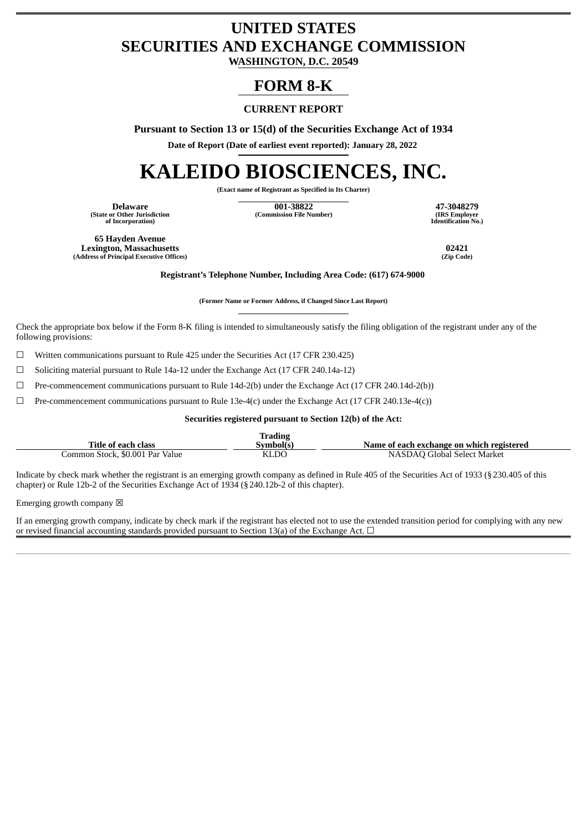## **UNITED STATES SECURITIES AND EXCHANGE COMMISSION**

**WASHINGTON, D.C. 20549**

### **FORM 8-K**

### **CURRENT REPORT**

**Pursuant to Section 13 or 15(d) of the Securities Exchange Act of 1934**

**Date of Report (Date of earliest event reported): January 28, 2022**

# **KALEIDO BIOSCIENCES, INC.**

**(Exact name of Registrant as Specified in Its Charter)**

**(State or Other Jurisdiction of Incorporation)**

**Delaware 001-38822 47-3048279 (Commission File Number) (IRS Employer**

**Identification No.)**

**65 Hayden Avenue Lexington, Massachusetts 02421 (Address of Principal Executive Offices) (Zip Code)**

**Registrant's Telephone Number, Including Area Code: (617) 674-9000**

**(Former Name or Former Address, if Changed Since Last Report)**

Check the appropriate box below if the Form 8-K filing is intended to simultaneously satisfy the filing obligation of the registrant under any of the following provisions:

 $\Box$  Written communications pursuant to Rule 425 under the Securities Act (17 CFR 230.425)

☐ Soliciting material pursuant to Rule 14a-12 under the Exchange Act (17 CFR 240.14a-12)

 $\Box$  Pre-commencement communications pursuant to Rule 14d-2(b) under the Exchange Act (17 CFR 240.14d-2(b))

 $\Box$  Pre-commencement communications pursuant to Rule 13e-4(c) under the Exchange Act (17 CFR 240.13e-4(c))

**Securities registered pursuant to Section 12(b) of the Act:**

| Title of each class             | <b>Trading</b><br>symbol(s' | Name of each exchange on which registered |
|---------------------------------|-----------------------------|-------------------------------------------|
| Common Stock. \$0.001 Par Value | KLDO                        | NASDAO Global Select Market               |

Indicate by check mark whether the registrant is an emerging growth company as defined in Rule 405 of the Securities Act of 1933 (§230.405 of this chapter) or Rule 12b-2 of the Securities Exchange Act of 1934 (§240.12b-2 of this chapter).

Emerging growth company  $\boxtimes$ 

If an emerging growth company, indicate by check mark if the registrant has elected not to use the extended transition period for complying with any new or revised financial accounting standards provided pursuant to Section 13(a) of the Exchange Act.  $\Box$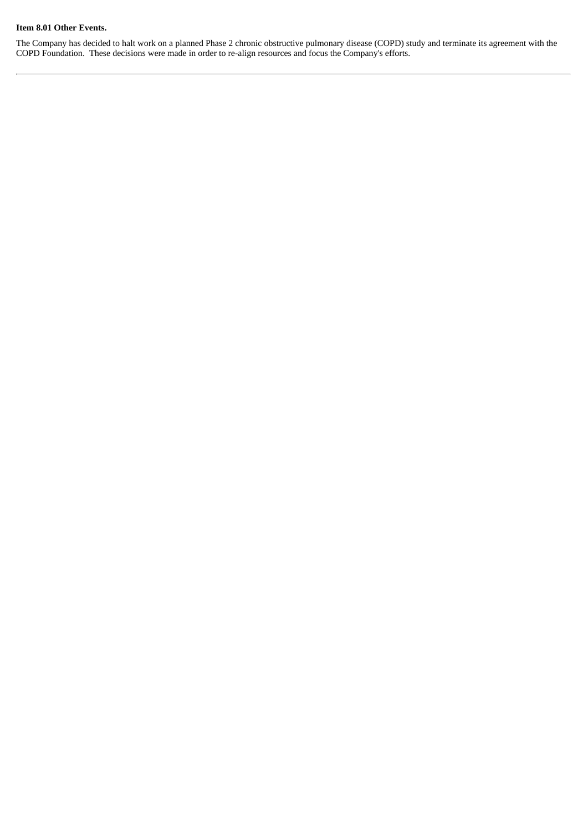#### **Item 8.01 Other Events.**

The Company has decided to halt work on a planned Phase 2 chronic obstructive pulmonary disease (COPD) study and terminate its agreement with the COPD Foundation. These decisions were made in order to re-align resources and focus the Company's efforts.